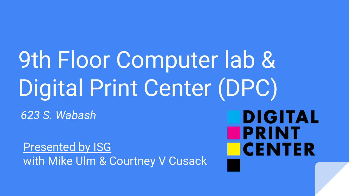# 9th Floor Computer lab & Digital Print Center (DPC)

*623 S. Wabash*

Presented by ISG with Mike Ulm & Courtney V Cusack

**DIGITAL PRINT CENTER**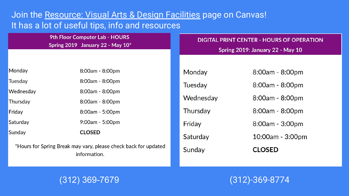#### Join the Resource: Visual Arts & Design Facilities page on Canvas! It has a lot of useful tips, info and resources

| 9th Floor Computer Lab - HOURS<br>Spring 2019 January 22 - May 10*              |                 | <b>DIGITAL PRINT CENTER - HOURS OF OPERATION</b><br>Spring 2019: January 22 - May 10 |                   |
|---------------------------------------------------------------------------------|-----------------|--------------------------------------------------------------------------------------|-------------------|
|                                                                                 |                 |                                                                                      |                   |
| Monday                                                                          | 8:00am - 8:00pm | Monday                                                                               | 8:00am - 8:00pm   |
| Tuesday                                                                         | 8:00am - 8:00pm | Tuesday                                                                              | 8:00am - 8:00pm   |
| Wednesday                                                                       | 8:00am - 8:00pm |                                                                                      |                   |
| Thursday                                                                        | 8:00am - 8:00pm | Wednesday                                                                            | 8:00am - 8:00pm   |
| Friday                                                                          | 8:00am - 5:00pm | Thursday                                                                             | 8:00am - 8:00pm   |
| Saturday                                                                        | 9:00am - 5:00pm | Friday                                                                               | $8:00am - 3:00pm$ |
| Sunday                                                                          | <b>CLOSED</b>   | Saturday                                                                             | 10:00am - 3:00pm  |
| *Hours for Spring Break may vary, please check back for updated<br>information. |                 | Sunday                                                                               | <b>CLOSED</b>     |

#### (312) 369-7679

(312)-369-8774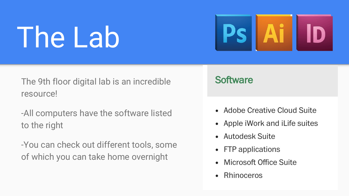# The Lab



The 9th floor digital lab is an incredible resource!

- -All computers have the software listed to the right
- -You can check out different tools, some of which you can take home overnight

### **Software**

- Adobe Creative Cloud Suite
- Apple iWork and iLife suites
- Autodesk Suite
- FTP applications
- Microsoft Office Suite  $\bullet$
- Rhinoceros  $\bullet$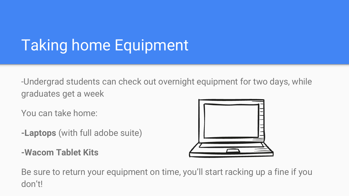## Taking home Equipment

-Undergrad students can check out overnight equipment for two days, while graduates get a week

You can take home:

- **-Laptops** (with full adobe suite)
- **-Wacom Tablet Kits**



Be sure to return your equipment on time, you'll start racking up a fine if you don't!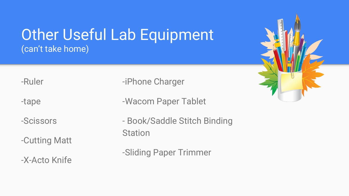### Other Useful Lab Equipment (can't take home)

-Ruler

-tape

-Scissors

-Cutting Matt

-X-Acto Knife

-iPhone Charger

-Wacom Paper Tablet

- Book/Saddle Stitch Binding **Station** 

-Sliding Paper Trimmer

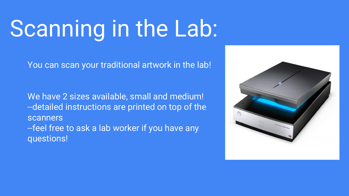# Scanning in the Lab:

You can scan your traditional artwork in the lab!

We have 2 sizes available, small and medium! --detailed instructions are printed on top of the scanners --feel free to ask a lab worker if you have any questions!

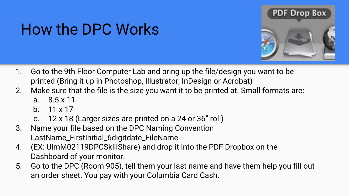# **PDF Drop Box**

### How the DPC Works

- 1. Go to the 9th Floor Computer Lab and bring up the file/design you want to be printed (Bring it up in Photoshop, Illustrator, InDesign or Acrobat)
- 2. Make sure that the file is the size you want it to be printed at. Small formats are:
	- a. 8.5 x 11
	- b.  $11 \times 17$
	- c. 12 x 18 (Larger sizes are printed on a 24 or 36" roll)
- 3. Name your file based on the DPC Naming Convention LastName\_FirstInitial\_6digitdate\_FileName
- 4. (EX: UlmM02119DPCSkillShare) and drop it into the PDF Dropbox on the Dashboard of your monitor.
- 5. Go to the DPC (Room 905), tell them your last name and have them help you fill out an order sheet. You pay with your Columbia Card Cash.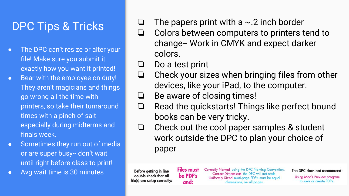### DPC Tips & Tricks

- The DPC can't resize or alter your file! Make sure you submit it exactly how you want it printed!
- Bear with the employee on duty! They aren't magicians and things go wrong all the time with printers, so take their turnaround times with a pinch of salt- especially during midterms and finals week.
- Sometimes they run out of media or are super busy-- don't wait until right before class to print!
- Avg wait time is 30 minutes

 $\Box$  The papers print with a  $\sim$  2 inch border

- ❏ Colors between computers to printers tend to change-- Work in CMYK and expect darker colors.
- ❏ Do a test print
- ❏ Check your sizes when bringing files from other devices, like your iPad, to the computer.
- ❏ Be aware of closing times!

**Files must** 

be PDF's

and:

- ❏ Read the quickstarts! Things like perfect bound books can be very tricky.
- ❏ Check out the cool paper samples & student work outside the DPC to plan your choice of paper

Before getting in line double-check that all file(s) are setup correctly: Correctly Named using the DPC Naming Convention. Correct Dimensions the DPC will not scale. Uniformly Sized multi-page PDF's must be equal dimensions, on all pages.

The DPC does not recommend:

**Using Mac's Preview program** to save or create PDF's.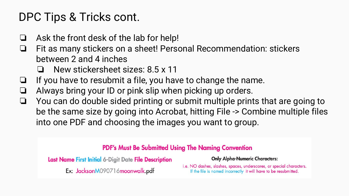### DPC Tips & Tricks cont.

- ❏ Ask the front desk of the lab for help!
- ❏ Fit as many stickers on a sheet! Personal Recommendation: stickers between 2 and 4 inches
	- ❏ New stickersheet sizes: 8.5 x 11
- ❏ If you have to resubmit a file, you have to change the name.
- ❏ Always bring your ID or pink slip when picking up orders.
- ❏ You can do double sided printing or submit multiple prints that are going to be the same size by going into Acrobat, hitting File -> Combine multiple files into one PDF and choosing the images you want to group.

#### **PDF's Must Be Submitted Using The Naming Convention**

Last Name First Initial 6-Digit Date File Description

Ex: JacksonM090716moonwalk.pdf

**Only Alpha-Numeric Characters:** 

i.e. NO dashes, slashes, spaces, underscores, or special characters. If the file is named incorrectly it will have to be resubmitted.